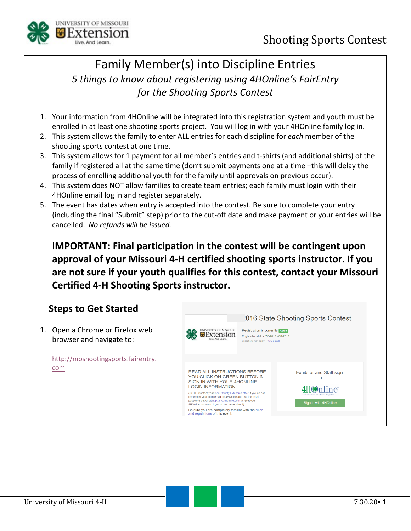

### Family Member(s) into Discipline Entries

#### *5 things to know about registering using 4HOnline's FairEntry for the Shooting Sports Contest*

- 1. Your information from 4HOnline will be integrated into this registration system and youth must be enrolled in at least one shooting sports project. You will log in with your 4HOnline family log in.
- 2. This system allows the family to enter ALL entries for each discipline for *each* member of the shooting sports contest at one time.
- 3. This system allows for 1 payment for all member's entries and t-shirts (and additional shirts) of the family if registered all at the same time (don't submit payments one at a time –this will delay the process of enrolling additional youth for the family until approvals on previous occur).
- 4. This system does NOT allow families to create team entries; each family must login with their 4HOnline email log in and register separately.
- 5. The event has dates when entry is accepted into the contest. Be sure to complete your entry (including the final "Submit" step) prior to the cut-off date and make payment or your entries will be cancelled. *No refunds will be issued.*

**IMPORTANT: Final participation in the contest will be contingent upon approval of your Missouri 4-H certified shooting sports instructor**. **If you are not sure if your youth qualifies for this contest, contact your Missouri Certified 4-H Shooting Sports instructor.** 

#### **Steps to Get Started**

1. Open a Chrome or Firefox web browser and navigate to:

> [http://moshootingsports.fairentry.](http://moshootingsports.fairentry.com/) [com](http://moshootingsports.fairentry.com/)

|                                                                                                                                                                                                                                                                                                                                                                                                                                                                |                                                                                                                | <b>2016 State Shooting Sports Contest</b>                                                                         |
|----------------------------------------------------------------------------------------------------------------------------------------------------------------------------------------------------------------------------------------------------------------------------------------------------------------------------------------------------------------------------------------------------------------------------------------------------------------|----------------------------------------------------------------------------------------------------------------|-------------------------------------------------------------------------------------------------------------------|
| <b>JNIVERSITY OF MISSOURI</b>                                                                                                                                                                                                                                                                                                                                                                                                                                  | Registration is currently open<br>Registration dates: 7/5/2016 - 8/1/2016<br>Exceptions may apply View Details |                                                                                                                   |
| <b>READ ALL INSTRUCTIONS BEFORE</b><br>YOU CLICK ON GREEN BUTTON &<br>SIGN IN WITH YOUR 4HONLINE<br><b>LOGIN INFORMATION</b><br>(NOTE: Contact your local County Extension office if you do not<br>remember your login email for 4HOnline and use the reset<br>password button at http://mo.4honline.com to reset your<br>4HOnline password if you do not remember it)<br>Be sure you are completely familiar with the rules<br>and regulations of this event. |                                                                                                                | <b>Exhibitor and Staff sign-</b><br>in<br>line"<br>4-H Enrollment and Event Registration<br>Sign in with 4HOnline |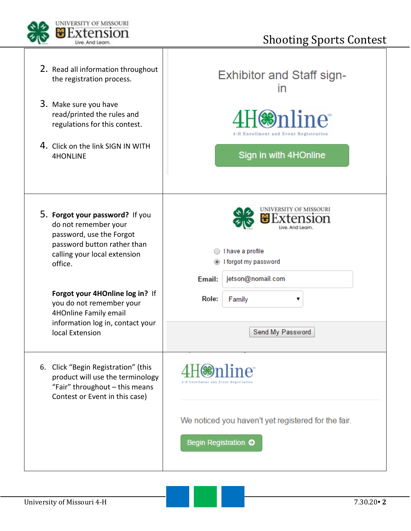

| 2. Read all information throughout<br>the registration process.                                                                                               | <b>Exhibitor and Staff sign-</b><br>$\mathsf{I}$                                                  |
|---------------------------------------------------------------------------------------------------------------------------------------------------------------|---------------------------------------------------------------------------------------------------|
| 3. Make sure you have<br>read/printed the rules and<br>regulations for this contest.                                                                          | nline®<br>4-H Enrollment and Event Registration                                                   |
| 4. Click on the link SIGN IN WITH<br><b>4HONLINE</b>                                                                                                          | Sign in with 4HOnline                                                                             |
| 5. Forgot your password? If you<br>do not remember your<br>password, use the Forgot<br>password button rather than<br>calling your local extension<br>office. | UNIVERSITY OF MISSOURI<br>I have a profile<br>I forgot my password<br>jetson@nomail.com<br>Email: |
| Forgot your 4HOnline log in? If<br>you do not remember your<br>4HOnline Family email                                                                          | Role:<br>Family<br>۷.                                                                             |
| information log in, contact your<br>local Extension                                                                                                           | Send My Password                                                                                  |
| 6. Click "Begin Registration" (this<br>product will use the terminology<br>"Fair" throughout - this means<br>Contest or Event in this case)                   | 1-H Enrollment and Event Registration                                                             |
|                                                                                                                                                               | We noticed you haven't yet registered for the fair.<br>Begin Registration O                       |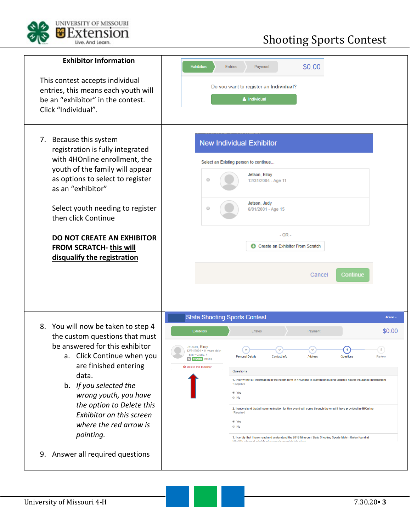

# Shooting Sports Contest

| <b>Exhibitor Information</b><br>This contest accepts individual<br>entries, this means each youth will<br>be an "exhibitor" in the contest.<br>Click "Individual".                                                                                                                                                                                               | \$0.00<br><b>Exhibitors</b><br><b>Entries</b><br>Payment<br>Do you want to register an Individual?<br>& Individual                                                                                                                                                                                                                                                                                                                                                                                                                                                                                                                                                                                                                                                                                                                                              |
|------------------------------------------------------------------------------------------------------------------------------------------------------------------------------------------------------------------------------------------------------------------------------------------------------------------------------------------------------------------|-----------------------------------------------------------------------------------------------------------------------------------------------------------------------------------------------------------------------------------------------------------------------------------------------------------------------------------------------------------------------------------------------------------------------------------------------------------------------------------------------------------------------------------------------------------------------------------------------------------------------------------------------------------------------------------------------------------------------------------------------------------------------------------------------------------------------------------------------------------------|
| 7. Because this system<br>registration is fully integrated<br>with 4HOnline enrollment, the<br>youth of the family will appear<br>as options to select to register<br>as an "exhibitor"<br>Select youth needing to register<br>then click Continue<br><b>DO NOT CREATE AN EXHIBITOR</b><br>FROM SCRATCH-this will<br>disqualify the registration                 | <b>New Individual Exhibitor</b><br>Select an Existing person to continue<br>Jetson, Elroy<br>$\circ$<br>12/31/2004 - Age 11<br>Jetson, Judy<br>$\circ$<br>6/01/2001 - Age 15<br>$-$ OR $-$<br>Create an Exhibitor From Scratch<br><b>Continue</b><br>Cancel                                                                                                                                                                                                                                                                                                                                                                                                                                                                                                                                                                                                     |
| 8. You will now be taken to step 4<br>the custom questions that must<br>be answered for this exhibitor<br>Click Continue when you<br>а.<br>are finished entering<br>data.<br>b. If you selected the<br>wrong youth, you have<br>the option to Delete this<br>Exhibitor on this screen<br>where the red arrow is<br>pointing.<br>9. Answer all required questions | <b>State Shooting Sports Contest</b><br>Jetson -<br>\$0.00<br><b>Exhibitors</b><br><b>Entries</b><br>Payment<br>Jetson, Elroy<br>$\overline{5}$<br>12/31/2004 • 11 years old (4-<br>.∙ Gra<br><b>Personal Details</b><br><b>Contact Info</b><br>Address<br>Questions<br>Review<br><b>#6</b> 4HOnline Training<br><b>O</b> Delete this Exhibitor<br>Questions<br>1. I verify that all information in the health form in 4HOnline is current (including updated health insurance information)<br>*Required<br>⊕ Yes<br>$\odot$ No<br>2. I understand that all communication for this event will come through the email I have provided in 4HOnline<br>*Required<br>⊕ Yes<br>$\odot$ No<br>3. I certify that I have read and understand the 2016 Missouri State Shooting Sports Match Rules found at<br>http://Ah mieeruri arlulehryding enorte avanteletata ehoot |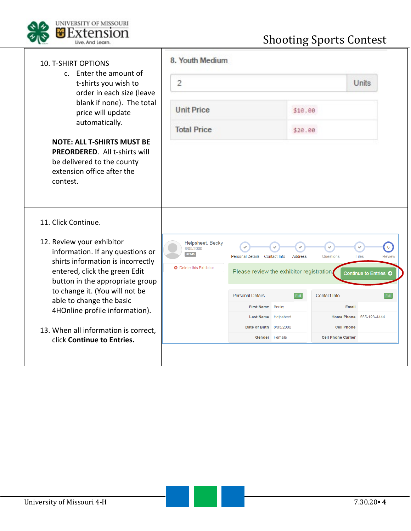

| 8. Youth Medium                           |                |                                                       |                                          |
|-------------------------------------------|----------------|-------------------------------------------------------|------------------------------------------|
| $\overline{2}$                            |                |                                                       | Units                                    |
|                                           | \$10.00        |                                                       |                                          |
|                                           | \$20.00        |                                                       |                                          |
|                                           |                |                                                       |                                          |
| Personal Details Contact Info             | <b>Address</b> | Questions                                             | 6 <sup>1</sup><br>Files<br><b>Review</b> |
| Please review the exhibitor registration. |                |                                                       | Continue to Entries O                    |
| <b>Personal Details</b>                   | Edit           | Contact Info                                          | Edit                                     |
| <b>First Name</b>                         | <b>Becky</b>   | Email                                                 |                                          |
| <b>Last Name</b>                          |                | <b>Home Phone</b>                                     | 555-123-4444                             |
|                                           |                | <b>Cell Phone</b><br><b>Cell Phone Carrier</b>        |                                          |
|                                           |                | Helpsheet<br>Date of Birth 8/05/2000<br>Gender Female |                                          |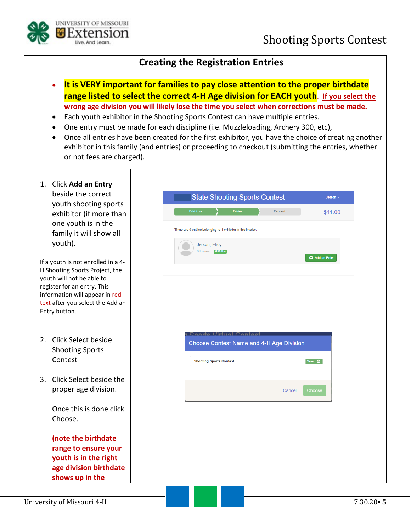

#### **Creating the Registration Entries**

- **It is VERY important for families to pay close attention to the proper birthdate range listed to select the correct 4-H Age division for EACH youth**. **If you select the wrong age division you will likely lose the time you select when corrections must be made.**
- Each youth exhibitor in the Shooting Sports Contest can have multiple entries.
- One entry must be made for each discipline (i.e. Muzzleloading, Archery 300, etc),
- Once all entries have been created for the first exhibitor, you have the choice of creating another exhibitor in this family (and entries) or proceeding to checkout (submitting the entries, whether or not fees are charged).

| youth shooting sports<br>exhibitor (if more than<br>one youth is in the<br>family it will show all<br>youth).                                                                                                           | <b>State Shooting Sports Contest</b><br><b>Exhibitors</b><br><b>Entries</b><br>Payment<br>\$11.00                       |
|-------------------------------------------------------------------------------------------------------------------------------------------------------------------------------------------------------------------------|-------------------------------------------------------------------------------------------------------------------------|
|                                                                                                                                                                                                                         |                                                                                                                         |
|                                                                                                                                                                                                                         | There are 0 entries belonging to 1 exhibitor in this invoice<br>Jetson, Elroy<br>0 Entries 4HOnline                     |
| If a youth is not enrolled in a 4-<br>H Shooting Sports Project, the<br>youth will not be able to<br>register for an entry. This<br>information will appear in red<br>text after you select the Add an<br>Entry button. | Add an Entry                                                                                                            |
| 2. Click Select beside<br><b>Shooting Sports</b><br>Contest                                                                                                                                                             | Sporte Virtual Contos<br>Choose Contest Name and 4-H Age Division<br>Select $\bullet$<br><b>Shooting Sports Contest</b> |
| Click Select beside the<br>3.<br>proper age division.                                                                                                                                                                   | Choose<br>Cancel                                                                                                        |
| Once this is done click<br>Choose.                                                                                                                                                                                      |                                                                                                                         |
| (note the birthdate<br>range to ensure your<br>youth is in the right<br>age division birthdate<br>shows up in the                                                                                                       |                                                                                                                         |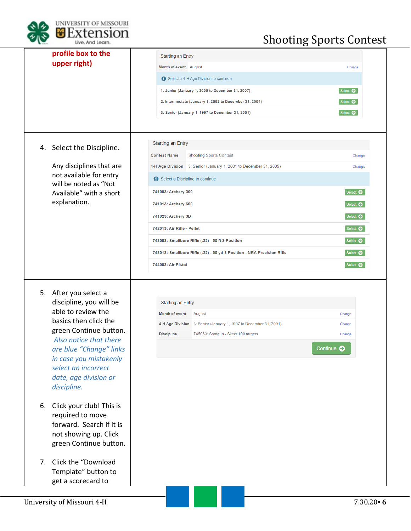

# Shooting Sports Contest

| profile box to the                                | <b>Starting an Entry</b>                                                                     |                                     |
|---------------------------------------------------|----------------------------------------------------------------------------------------------|-------------------------------------|
| upper right)                                      | Month of event August                                                                        | Change                              |
|                                                   | Select a 4-H Age Division to continue                                                        |                                     |
|                                                   | 1: Junior (January 1, 2005 to December 31, 2007)                                             | Select $\bullet$                    |
|                                                   | 2: Intermediate (January 1, 2002 to December 31, 2004)                                       | Select $\bullet$                    |
|                                                   | 3: Senior (January 1, 1997 to December 31, 2001)                                             | Select $\bullet$                    |
|                                                   |                                                                                              |                                     |
|                                                   |                                                                                              |                                     |
| 4. Select the Discipline.                         | <b>Starting an Entry</b>                                                                     |                                     |
|                                                   | <b>Contest Name</b><br><b>Shooting Sports Contest</b>                                        | Change                              |
| Any disciplines that are                          | 4-H Age Division 3: Senior (January 1, 2001 to December 31, 2005)                            | Change                              |
| not available for entry<br>will be noted as "Not  | Select a Discipline to continue                                                              |                                     |
| Available" with a short                           | 741003: Archery 300                                                                          | Select $\bullet$                    |
| explanation.                                      | 741013: Archery 600                                                                          | Select $\bullet$                    |
|                                                   | 741023: Archery 3D                                                                           | Select $\bullet$                    |
|                                                   | 742013: Air Rifle - Pellet                                                                   | Select <b>O</b>                     |
|                                                   |                                                                                              |                                     |
|                                                   |                                                                                              |                                     |
|                                                   | 743003: Smallbore Rifle (.22) - 50 ft 3 Position                                             | Select $\bullet$                    |
|                                                   | 743013: Smallbore Rifle (.22) - 50 yd 3 Position - NRA Precision Rifle<br>744003: Air Pistol | Select <b>O</b><br>Select $\bullet$ |
| 5. After you select a<br>discipline, you will be  | <b>Starting an Entry</b>                                                                     |                                     |
| able to review the                                | Month of event<br>August                                                                     | Change                              |
| basics then click the                             | 4-H Age Division 3: Senior (January 1, 1997 to December 31, 2001)                            | Change                              |
| green Continue button.                            | <b>Discipline</b><br>745063: Shotgun - Skeet 100 targets                                     | Change                              |
| Also notice that there                            |                                                                                              | Continue <b>O</b>                   |
| are blue "Change" links<br>in case you mistakenly |                                                                                              |                                     |
| select an incorrect                               |                                                                                              |                                     |
| date, age division or                             |                                                                                              |                                     |
| discipline.                                       |                                                                                              |                                     |
| 6. Click your club! This is                       |                                                                                              |                                     |
| required to move                                  |                                                                                              |                                     |
| forward. Search if it is                          |                                                                                              |                                     |
| not showing up. Click                             |                                                                                              |                                     |
| green Continue button.                            |                                                                                              |                                     |
| Click the "Download<br>7.                         |                                                                                              |                                     |
| Template" button to                               |                                                                                              |                                     |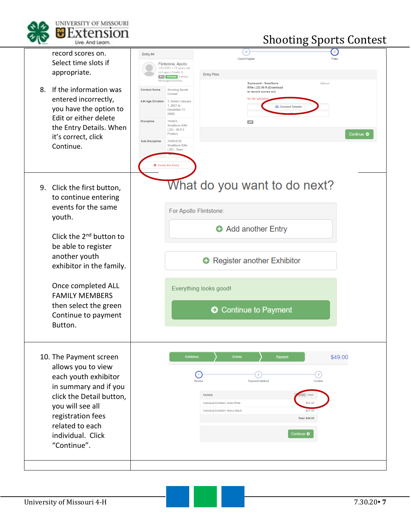